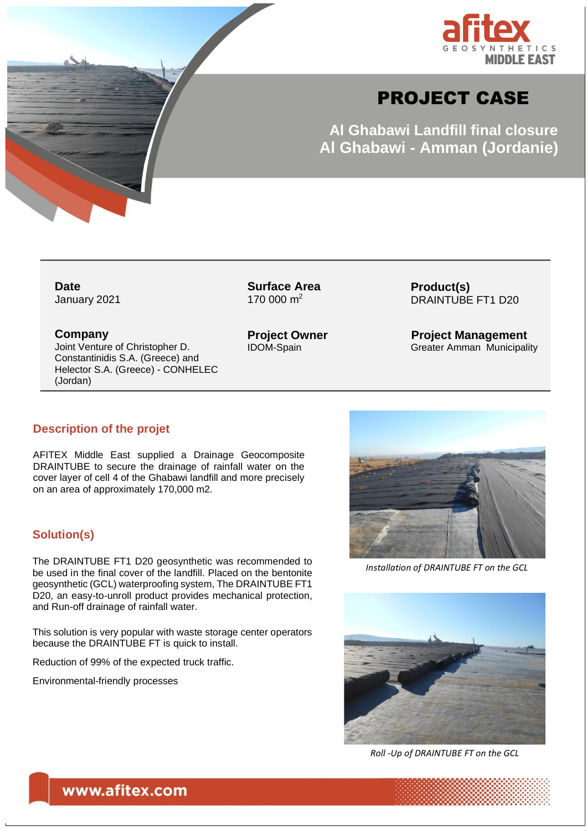

# PROJECT CASE

**Al Ghabawi Landfill final closure Al Ghabawi - Amman (Jordanie)**

**Date** January 2021

**ATTOR** 

**Surface Area** 170 000 m<sup>2</sup>

**Product(s)** DRAINTUBE FT1 D20

**Project Management** Greater Amman Municipality

### **Company**

Joint Venture of Christopher D. Constantinidis S.A. (Greece) and Helector S.A. (Greece) - CONHELEC (Jordan)

**Project Owner** IDOM-Spain

#### **Description of the projet**

AFITEX Middle East supplied a Drainage Geocomposite DRAINTUBE to secure the drainage of rainfall water on the cover layer of cell 4 of the Ghabawi landfill and more precisely on an area of approximately 170,000 m2.

#### **Solution(s)**

The DRAINTUBE FT1 D20 geosynthetic was recommended to be used in the final cover of the landfill. Placed on the bentonite geosynthetic (GCL) waterproofing system, The DRAINTUBE FT1 D20, an easy-to-unroll product provides mechanical protection, and Run-off drainage of rainfall water.

This solution is very popular with waste storage center operators because the DRAINTUBE FT is quick to install.

Reduction of 99% of the expected truck traffic.

Environmental-friendly processes



*Installation of DRAINTUBE FT on the GCL*



*Roll -Up of DRAINTUBE FT on the GCL*

www.afitex.com